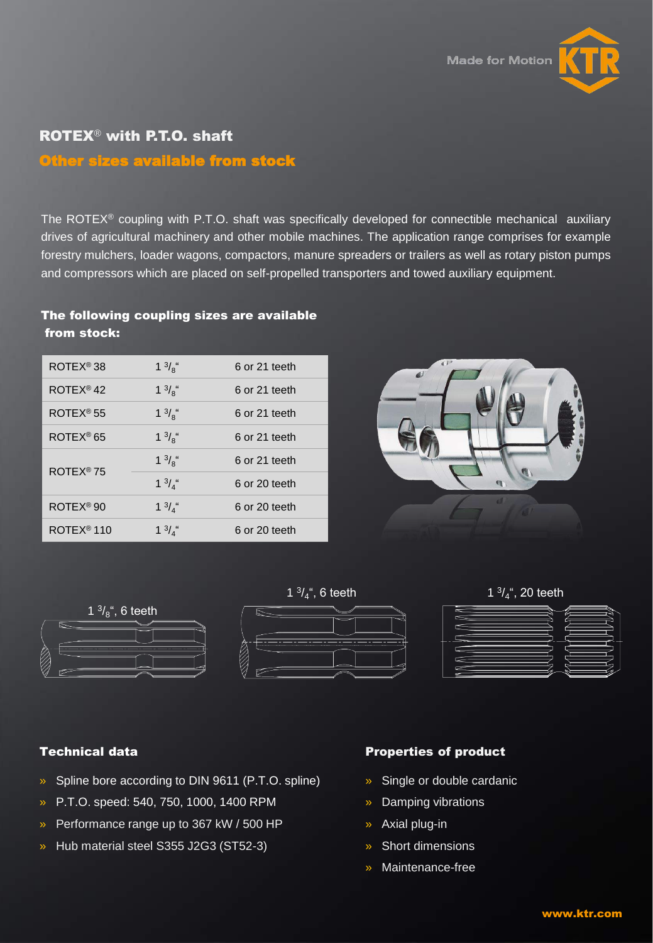



# ROTEX® with P.T.O. shaft

# Other sizes available from stock

The ROTEX<sup>®</sup> coupling with P.T.O. shaft was specifically developed for connectible mechanical auxiliary drives of agricultural machinery and other mobile machines. The application range comprises for example forestry mulchers, loader wagons, compactors, manure spreaders or trailers as well as rotary piston pumps and compressors which are placed on self-propelled transporters and towed auxiliary equipment.

# The following coupling sizes are available from stock:

| ROTEX <sup>®</sup> 38  | $1 \frac{3}{8}$ " | 6 or 21 teeth |
|------------------------|-------------------|---------------|
| ROTEX <sup>®</sup> 42  | $1 \frac{3}{8}$ " | 6 or 21 teeth |
| $ROTEX^{\circledR}$ 55 | $1 \frac{3}{8}$ " | 6 or 21 teeth |
| ROTEX <sup>®</sup> 65  | $1 \frac{3}{8}$ " | 6 or 21 teeth |
| ROTEX <sup>®</sup> 75  | $1 \frac{3}{8}$ " | 6 or 21 teeth |
|                        | $1 \frac{3}{4}$ " | 6 or 20 teeth |
| ROTEX <sup>®</sup> 90  | $1 \frac{3}{4}$ " | 6 or 20 teeth |
| ROTEX <sup>®</sup> 110 | $1 \frac{3}{4}$ " | 6 or 20 teeth |





#### Technical data

- » Spline bore according to DIN 9611 (P.T.O. spline)
- » P.T.O. speed: 540, 750, 1000, 1400 RPM
- » Performance range up to 367 kW / 500 HP
- » Hub material steel S355 J2G3 (ST52-3)

#### Properties of product

- » Single or double cardanic
- » Damping vibrations
- » Axial plug-in
- » Short dimensions
- » Maintenance-free